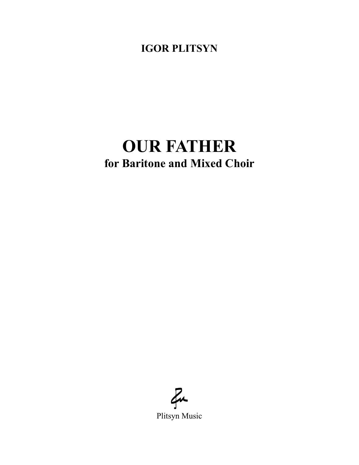**IGOR PLITSYN**

## **OUR FATHER for Baritone and Mixed Choir**

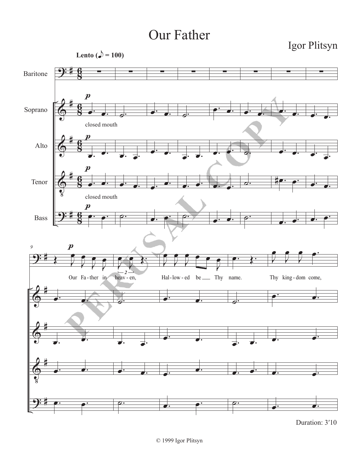## Our Father



Duration: 3′10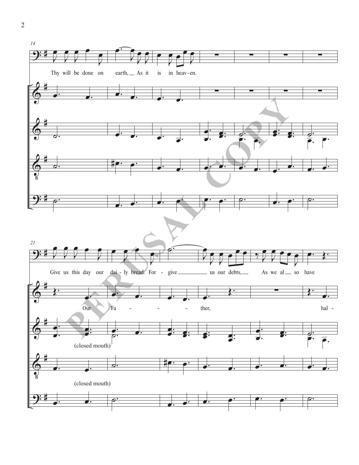

 $\overline{2}$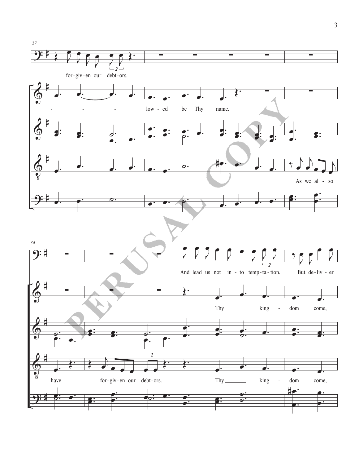

 $\overline{3}$